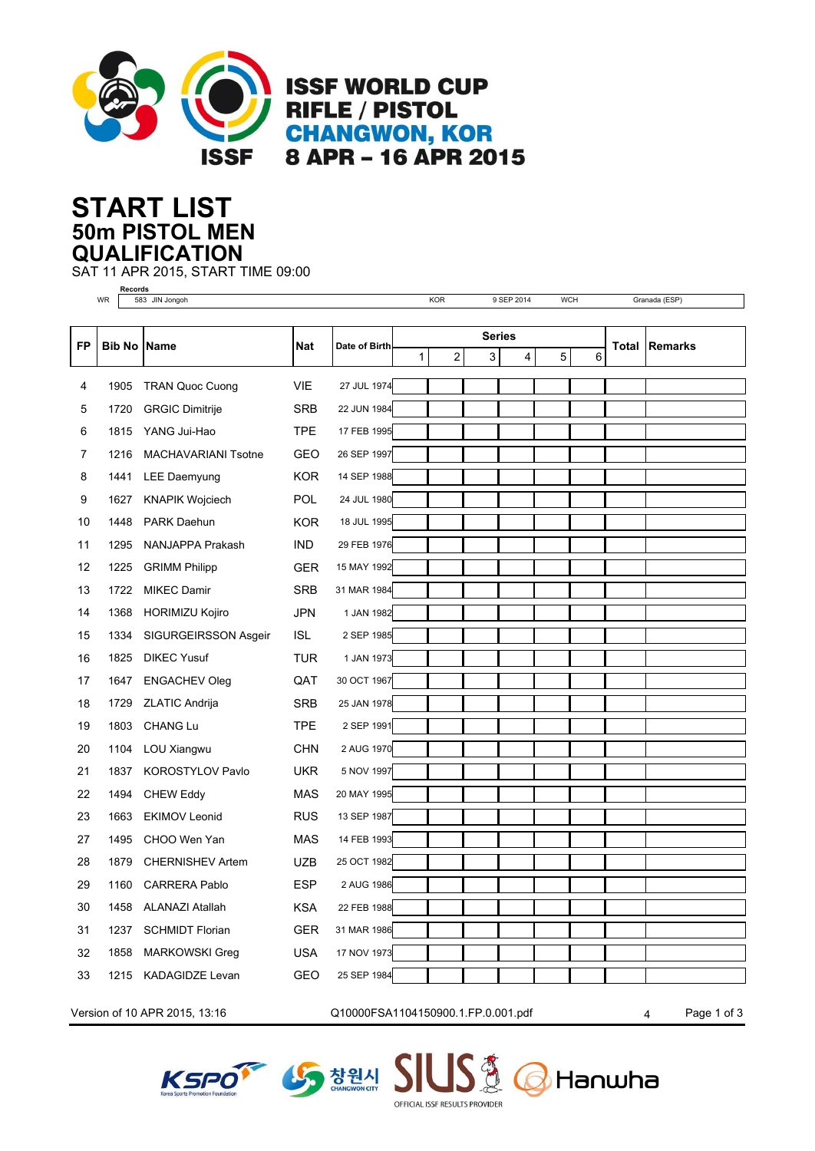

**ISSF WORLD CUP RIFLE / PISTOL CHANGWON, KOR** 8 APR - 16 APR 2015

## **50m PISTOL MEN START LIST QUALIFICATION**

**Records**

SAT 11 APR 2015, START TIME 09:00

|    | WR                  | 583 JIN Jongoh             |            |               |               | KOR                     |  | 9 SEP 2014 |                     | <b>WCH</b> |              | Granada (ESP)  |  |
|----|---------------------|----------------------------|------------|---------------|---------------|-------------------------|--|------------|---------------------|------------|--------------|----------------|--|
|    |                     |                            |            |               |               |                         |  |            |                     |            |              |                |  |
| FP | <b>Bib No IName</b> |                            | <b>Nat</b> | Date of Birth | <b>Series</b> |                         |  |            |                     |            | <b>Total</b> | <b>Remarks</b> |  |
|    |                     |                            |            |               | $\mathbf{1}$  | $\overline{\mathbf{c}}$ |  | 3          | 5<br>$\overline{4}$ | 6          |              |                |  |
| 4  | 1905                | <b>TRAN Quoc Cuong</b>     | <b>VIE</b> | 27 JUL 1974   |               |                         |  |            |                     |            |              |                |  |
| 5  | 1720                | <b>GRGIC Dimitrije</b>     | <b>SRB</b> | 22 JUN 1984   |               |                         |  |            |                     |            |              |                |  |
| 6  | 1815                | YANG Jui-Hao               | <b>TPE</b> | 17 FEB 1995   |               |                         |  |            |                     |            |              |                |  |
| 7  | 1216                | <b>MACHAVARIANI Tsotne</b> | <b>GEO</b> | 26 SEP 1997   |               |                         |  |            |                     |            |              |                |  |
| 8  | 1441                | LEE Daemyung               | <b>KOR</b> | 14 SEP 1988   |               |                         |  |            |                     |            |              |                |  |
| 9  | 1627                | <b>KNAPIK Wojciech</b>     | <b>POL</b> | 24 JUL 1980   |               |                         |  |            |                     |            |              |                |  |
| 10 | 1448                | PARK Daehun                | <b>KOR</b> | 18 JUL 1995   |               |                         |  |            |                     |            |              |                |  |
| 11 | 1295                | NANJAPPA Prakash           | <b>IND</b> | 29 FEB 1976   |               |                         |  |            |                     |            |              |                |  |
| 12 | 1225                | <b>GRIMM Philipp</b>       | <b>GER</b> | 15 MAY 1992   |               |                         |  |            |                     |            |              |                |  |
| 13 | 1722                | <b>MIKEC Damir</b>         | <b>SRB</b> | 31 MAR 1984   |               |                         |  |            |                     |            |              |                |  |
| 14 | 1368                | <b>HORIMIZU Kojiro</b>     | <b>JPN</b> | 1 JAN 1982    |               |                         |  |            |                     |            |              |                |  |
| 15 | 1334                | SIGURGEIRSSON Asgeir       | <b>ISL</b> | 2 SEP 1985    |               |                         |  |            |                     |            |              |                |  |
| 16 | 1825                | <b>DIKEC Yusuf</b>         | TUR        | 1 JAN 1973    |               |                         |  |            |                     |            |              |                |  |
| 17 | 1647                | <b>ENGACHEV Oleg</b>       | QAT        | 30 OCT 1967   |               |                         |  |            |                     |            |              |                |  |
| 18 | 1729                | <b>ZLATIC Andrija</b>      | <b>SRB</b> | 25 JAN 1978   |               |                         |  |            |                     |            |              |                |  |
| 19 | 1803                | <b>CHANG Lu</b>            | <b>TPE</b> | 2 SEP 1991    |               |                         |  |            |                     |            |              |                |  |
| 20 | 1104                | LOU Xiangwu                | <b>CHN</b> | 2 AUG 1970    |               |                         |  |            |                     |            |              |                |  |
| 21 | 1837                | KOROSTYLOV Pavlo           | <b>UKR</b> | 5 NOV 1997    |               |                         |  |            |                     |            |              |                |  |
| 22 | 1494                | <b>CHEW Eddy</b>           | <b>MAS</b> | 20 MAY 1995   |               |                         |  |            |                     |            |              |                |  |
| 23 | 1663                | <b>EKIMOV Leonid</b>       | <b>RUS</b> | 13 SEP 1987   |               |                         |  |            |                     |            |              |                |  |
| 27 | 1495                | CHOO Wen Yan               | <b>MAS</b> | 14 FEB 1993   |               |                         |  |            |                     |            |              |                |  |
| 28 | 1879                | <b>CHERNISHEV Artem</b>    | <b>UZB</b> | 25 OCT 1982   |               |                         |  |            |                     |            |              |                |  |
| 29 | 1160                | <b>CARRERA Pablo</b>       | <b>ESP</b> | 2 AUG 1986    |               |                         |  |            |                     |            |              |                |  |
| 30 | 1458                | <b>ALANAZI Atallah</b>     | <b>KSA</b> | 22 FEB 1988   |               |                         |  |            |                     |            |              |                |  |
| 31 | 1237                | <b>SCHMIDT Florian</b>     | <b>GER</b> | 31 MAR 1986   |               |                         |  |            |                     |            |              |                |  |
| 32 | 1858                | <b>MARKOWSKI Greg</b>      | <b>USA</b> | 17 NOV 1973   |               |                         |  |            |                     |            |              |                |  |
| 33 | 1215                | <b>KADAGIDZE Levan</b>     | <b>GEO</b> | 25 SEP 1984   |               |                         |  |            |                     |            |              |                |  |
|    |                     |                            |            |               |               |                         |  |            |                     |            |              |                |  |

Version of 10 APR 2015, 13:16 Q10000FSA1104150900.1.FP.0.001.pdf 4 Page 1 of 3

Hanwha



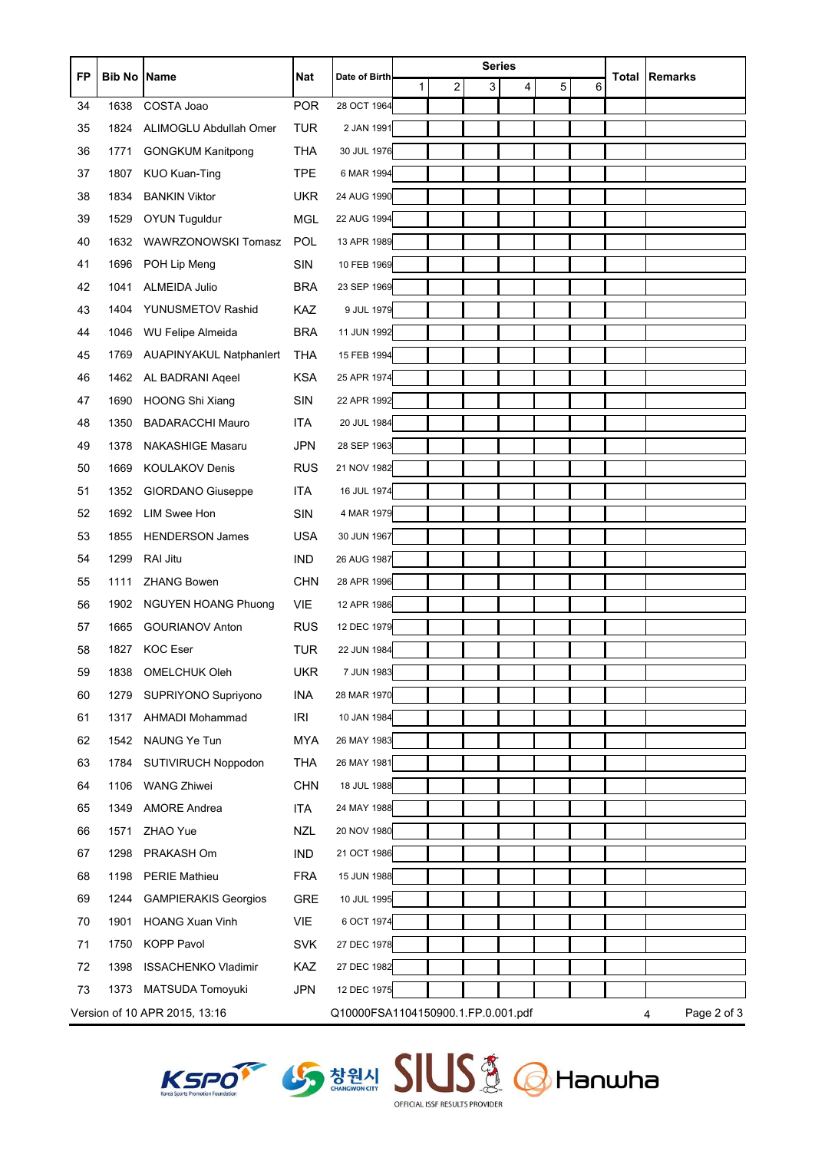| <b>FP</b> | <b>Bib No Name</b> |                                | Nat        | Date of Birth                      | <b>Series</b> |                |   |   | <b>Total</b> | <b>Remarks</b> |  |                  |
|-----------|--------------------|--------------------------------|------------|------------------------------------|---------------|----------------|---|---|--------------|----------------|--|------------------|
|           |                    |                                |            |                                    | 1             | $\overline{c}$ | 3 | 4 | 5            | 6              |  |                  |
| 34        | 1638               | COSTA Joao                     | <b>POR</b> | 28 OCT 1964                        |               |                |   |   |              |                |  |                  |
| 35        | 1824               | ALIMOGLU Abdullah Omer         | <b>TUR</b> | 2 JAN 1991                         |               |                |   |   |              |                |  |                  |
| 36        | 1771               | <b>GONGKUM Kanitpong</b>       | <b>THA</b> | 30 JUL 1976                        |               |                |   |   |              |                |  |                  |
| 37        | 1807               | <b>KUO Kuan-Ting</b>           | <b>TPE</b> | 6 MAR 1994                         |               |                |   |   |              |                |  |                  |
| 38        | 1834               | <b>BANKIN Viktor</b>           | <b>UKR</b> | 24 AUG 1990                        |               |                |   |   |              |                |  |                  |
| 39        | 1529               | <b>OYUN Tuguldur</b>           | <b>MGL</b> | 22 AUG 1994                        |               |                |   |   |              |                |  |                  |
| 40        | 1632               | <b>WAWRZONOWSKI Tomasz</b>     | POL        | 13 APR 1989                        |               |                |   |   |              |                |  |                  |
| 41        | 1696               | POH Lip Meng                   | <b>SIN</b> | 10 FEB 1969                        |               |                |   |   |              |                |  |                  |
| 42        | 1041               | <b>ALMEIDA Julio</b>           | <b>BRA</b> | 23 SEP 1969                        |               |                |   |   |              |                |  |                  |
| 43        | 1404               | YUNUSMETOV Rashid              | KAZ        | 9 JUL 1979                         |               |                |   |   |              |                |  |                  |
| 44        | 1046               | <b>WU Felipe Almeida</b>       | <b>BRA</b> | 11 JUN 1992                        |               |                |   |   |              |                |  |                  |
| 45        | 1769               | <b>AUAPINYAKUL Natphanlert</b> | THA        | 15 FEB 1994                        |               |                |   |   |              |                |  |                  |
| 46        | 1462               | AL BADRANI Ageel               | <b>KSA</b> | 25 APR 1974                        |               |                |   |   |              |                |  |                  |
| 47        | 1690               | <b>HOONG Shi Xiang</b>         | <b>SIN</b> | 22 APR 1992                        |               |                |   |   |              |                |  |                  |
| 48        | 1350               | <b>BADARACCHI Mauro</b>        | <b>ITA</b> | 20 JUL 1984                        |               |                |   |   |              |                |  |                  |
| 49        | 1378               | <b>NAKASHIGE Masaru</b>        | <b>JPN</b> | 28 SEP 1963                        |               |                |   |   |              |                |  |                  |
| 50        | 1669               | <b>KOULAKOV Denis</b>          | <b>RUS</b> | 21 NOV 1982                        |               |                |   |   |              |                |  |                  |
| 51        | 1352               | GIORDANO Giuseppe              | <b>ITA</b> | 16 JUL 1974                        |               |                |   |   |              |                |  |                  |
| 52        | 1692               | <b>LIM Swee Hon</b>            | SIN        | 4 MAR 1979                         |               |                |   |   |              |                |  |                  |
| 53        | 1855               | <b>HENDERSON James</b>         | <b>USA</b> | 30 JUN 1967                        |               |                |   |   |              |                |  |                  |
| 54        | 1299               | RAI Jitu                       | <b>IND</b> | 26 AUG 1987                        |               |                |   |   |              |                |  |                  |
| 55        | 1111               | <b>ZHANG Bowen</b>             | <b>CHN</b> | 28 APR 1996                        |               |                |   |   |              |                |  |                  |
| 56        | 1902               | <b>NGUYEN HOANG Phuong</b>     | <b>VIE</b> | 12 APR 1986                        |               |                |   |   |              |                |  |                  |
| 57        | 1665               | <b>GOURIANOV Anton</b>         | <b>RUS</b> | 12 DEC 1979                        |               |                |   |   |              |                |  |                  |
| 58        | 1827               | <b>KOC Eser</b>                | <b>TUR</b> | 22 JUN 1984                        |               |                |   |   |              |                |  |                  |
| 59        | 1838               | OMELCHUK Oleh                  | <b>UKR</b> | 7 JUN 1983                         |               |                |   |   |              |                |  |                  |
| 60        | 1279               | SUPRIYONO Supriyono            | <b>INA</b> | 28 MAR 1970                        |               |                |   |   |              |                |  |                  |
| 61        | 1317               | AHMADI Mohammad                | IRI        | 10 JAN 1984                        |               |                |   |   |              |                |  |                  |
| 62        | 1542               | NAUNG Ye Tun                   | <b>MYA</b> | 26 MAY 1983                        |               |                |   |   |              |                |  |                  |
| 63        | 1784               | <b>SUTIVIRUCH Noppodon</b>     | <b>THA</b> | 26 MAY 1981                        |               |                |   |   |              |                |  |                  |
| 64        | 1106               | <b>WANG Zhiwei</b>             | <b>CHN</b> | 18 JUL 1988                        |               |                |   |   |              |                |  |                  |
| 65        | 1349               | <b>AMORE Andrea</b>            | <b>ITA</b> | 24 MAY 1988                        |               |                |   |   |              |                |  |                  |
| 66        | 1571               | ZHAO Yue                       | <b>NZL</b> | 20 NOV 1980                        |               |                |   |   |              |                |  |                  |
| 67        | 1298               | PRAKASH Om                     | IND        | 21 OCT 1986                        |               |                |   |   |              |                |  |                  |
| 68        | 1198               | <b>PERIE Mathieu</b>           | <b>FRA</b> | 15 JUN 1988                        |               |                |   |   |              |                |  |                  |
| 69        | 1244               | <b>GAMPIERAKIS Georgios</b>    | GRE        | 10 JUL 1995                        |               |                |   |   |              |                |  |                  |
| 70        | 1901               | <b>HOANG Xuan Vinh</b>         | VIE        | 6 OCT 1974                         |               |                |   |   |              |                |  |                  |
| 71        | 1750               | <b>KOPP Pavol</b>              | <b>SVK</b> | 27 DEC 1978                        |               |                |   |   |              |                |  |                  |
| 72        | 1398               | <b>ISSACHENKO Vladimir</b>     | KAZ        | 27 DEC 1982                        |               |                |   |   |              |                |  |                  |
| 73        | 1373               | MATSUDA Tomoyuki               | <b>JPN</b> | 12 DEC 1975                        |               |                |   |   |              |                |  |                  |
|           |                    | Version of 10 APR 2015, 13:16  |            | Q10000FSA1104150900.1.FP.0.001.pdf |               |                |   |   |              |                |  | Page 2 of 3<br>4 |